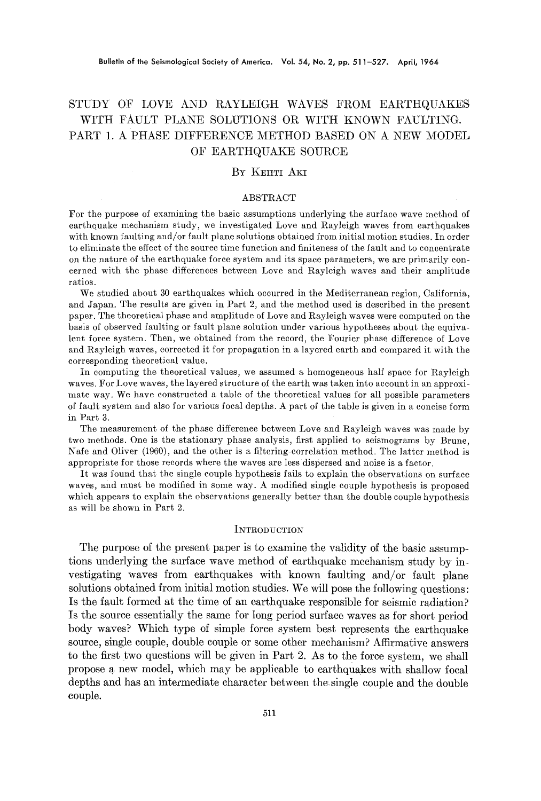# STUDY OF LOVE AND RAYLEIGH WAVES FROM EARTHQUAKES WITH FAULT PLANE SOLUTIONS OR WITH KNOWN FAULTING. PART 1. A PHASE DIFFERENCE METHOD BASED ON A NEW MODEL OF EARTHQUAKE SOURCE

# BY KEIITI AKI

#### ABSTRACT

For the purpose of examining the basic assumptions underlying the surface wave method of earthquake mechanism study, we investigated Love and Rayleigh waves from earthquakes with known faulting and/or fault plane solutions obtained from initial motion studies. In order to eliminate the effect of the source time function and finiteness of the fault and to concentrate on the nature of the earthquake force system and its space parameters, we are primarily coneerned with the phase differences between Love and Rayleigh waves and their amplitude ratios.

We studied about 30 earthquakes which occurred in the Mediterranean region, California, and Japan. The results are given in Part 2, and the method used is described in the present paper. The theoretical phase and amplitude of Love and Rayleigh waves were computed on the basis of observed faulting or fault plane solution under various hypotheses about the equivalent force system. Then, we obtained from the record, the Fourier phase difference of Love and Rayleigh waves, corrected it for propagation in a layered earth and compared it with the corresponding theoretical value.

In computing the theoretical values, we assumed a homogeneous half space for Rayleigh waves. For Love waves, the layered structure of the earth was taken into account in an approximate way. We have constructed a table of the theoretical values for all possible parameters of fault system and also for various focal depths. A part of the table is given in a concise form in Part 3.

The measurement of the phase difference between Love and Rayleigh waves was made by two methods. One is the stationary phase analysis, first applied to seismograms by Brune, Nafe and Oliver (1960), and the other is a filtering-correlation method. The latter method is appropriate for those records where the waves are less dispersed and noise is a factor.

It was found that the single couple hypothesis fails to explain the observations on surface waves, and must be modified in some way. A modified single couple hypothesis is proposed which appears to explain the observations generally better than the double couple hypothesis as will be shown in Part 2.

#### **INTRODUCTION**

The purpose of the present paper is to examine the validity of the basic assumptions underlying the surface wave method of earthquake mechanism study by investigating waves from earthquakes with known faulting and/or fault plane solutions obtained from initial motion studies. We will pose the following questions: Is the fault formed at the time of an earthquake responsible for seismic radiation? Is the source essentially the same for long period surface waves as for short period body waves? Which type of simple force system best represents the earthquake source, single couple, double couple or some other mechanism? Affirmative answers to the first two questions will be given in Part 2. As to the force system, we shall propose a new model, which may be applicable to earthquakes with shallow focal depths and has an intermediate character between the single couple and the double couple.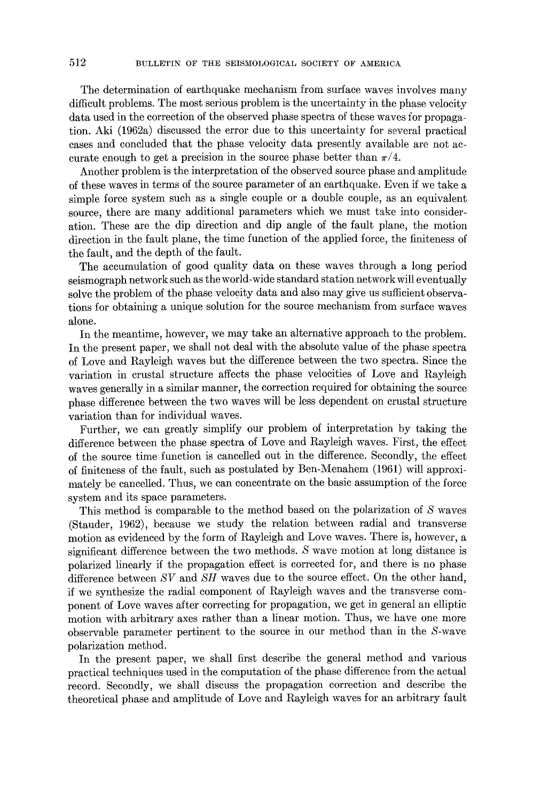The determination of earthquake mechanism from surface waves involves many difficult problems. The most serious problem is the uncertainty in the phase velocity data used in the correction of the observed phase spectra of these waves for propagation. Aki (1962a) discussed the error due to this uncertainty for several practical cases and concluded that the phase velocity data presently available are not accurate enough to get a precision in the source phase better than  $\pi/4$ .

Another problem is the interpretation of the observed source phase and amplitude of these waves in terms of the source parameter of an earthquake. Even if we take a simple force system such as a single couple or a double couple, as an equivalent source, there are many additional parameters which we must take into consideration. These are the dip direction and dip angle of the fault plane, the motion direction in the fault plane, the time function of the applied force, the finiteness of the fault, and the depth of the fault.

The accumulation of good quality data on these waves through a long period seismograph network such as the world-wide standard station network will eventually solve the problem of the phase velocity data and also may give us sufficient observations for obtaining a unique solution for the source mechanism from surface waves alone.

In the meantime, however, we may take an alternative approach to the problem. In the present paper, we shall not deal with the absolute value of the phase spectra of Love and Rayleigh waves but the difference between the two spectra. Since the variation in crustal structure affects the phase velocities of Love and Rayleigh waves generally in a similar manner, the correction required for obtaining the source phase difference between the two waves will be less dependent on crustal structure variation than for individual waves.

Further, we can greatly simplify our problem of interpretation by taking the difference between the phase spectra of Love and Rayleigh waves. First, the effect of the source time function is cancelled out in the difference. Secondly, the effect of finiteness of the fault, such as postulated by Ben-Menahcm (1961) will approximately be cancelled. Thus, we can concentrate on the basic assumption of the force system and its space parameters.

This method is comparable to the method based on the polarization of S waves (Stauder, 1962), because we study the relation between radial and transverse motion as evidenced by the form of Rayleigh and Love waves. There is, however, a significant difference between the two methods. S wave motion at long distance is polarized linearly if the propagation effect is corrected for, and there is no phase difference between *SV* and *SH* waves due to the source effect. On the other hand, if we synthesize the radial component of Rayleigh waves and the transverse component of Love waves after correcting for propagation, we get in general an elliptic motion with arbitrary axes rather than a linear motion. Thus, we have one more observable parameter pertinent to the source in our method than in the S-wave polarization method.

In the present paper, we shall first describe the general method and various practical techniques used in the computation of the phase difference from the actual record. Secondly, we shall discuss the propagation correction and describe the theoretical phase and amplitude of Love and Rayleigh waves for an arbitrary fault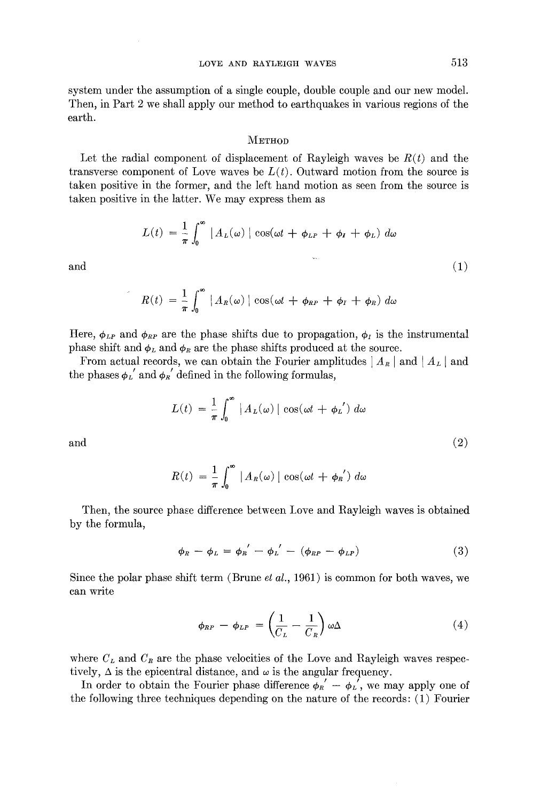system under the assumption of a single couple, double couple and our new model. Then, in Part 2 we shall apply our method to earthquakes in various regions of the earth.

#### **METHOD**

Let the radial component of displacement of Rayleigh waves be  $R(t)$  and the transverse component of Love waves be  $L(t)$ . Outward motion from the source is taken positive in the former, and the left hand motion as seen from the source is taken positive in the latter. We may express them as

$$
L(t) = \frac{1}{\pi} \int_0^\infty |A_L(\omega)| \cos(\omega t + \phi_{LP} + \phi_I + \phi_L) d\omega
$$
  
and (1)

$$
R(t) = \frac{1}{\pi} \int_0^{\infty} |A_R(\omega)| \cos(\omega t + \phi_{RP} + \phi_T + \phi_R) d\omega
$$

Here,  $\phi_{LP}$  and  $\phi_{RP}$  are the phase shifts due to propagation,  $\phi_I$  is the instrumental phase shift and  $\phi_L$  and  $\phi_R$  are the phase shifts produced at the source.

From actual records, we can obtain the Fourier amplitudes  $| A_R |$  and  $| A_L |$  and the phases  $\phi_L'$  and  $\phi_R'$  defined in the following formulas,

$$
L(t) = \frac{1}{\pi} \int_0^{\infty} |A_L(\omega)| \cos(\omega t + \phi_L') d\omega
$$

and  $(2)$ 

$$
R(t) = \frac{1}{\pi} \int_0^{\infty} |A_R(\omega)| \cos(\omega t + \phi_R') d\omega
$$

Then, the source phase difference between Love and Rayleigh waves is obtained by the formula,

$$
\phi_R - \phi_L = \phi_R' - \phi_L' - (\phi_{RP} - \phi_{LP})
$$
\n(3)

Since the polar phase shift term (Brune *et al.,* 1961) is common for both waves, we can write

$$
\phi_{RP} - \phi_{LP} = \left(\frac{1}{C_L} - \frac{1}{C_R}\right) \omega \Delta \tag{4}
$$

where  $C_L$  and  $C_R$  are the phase velocities of the Love and Rayleigh waves respectively,  $\Delta$  is the epicentral distance, and  $\omega$  is the angular frequency.

In order to obtain the Fourier phase difference  $\phi_R' - \phi_L'$ , we may apply one of the following three techniques depending on the nature of the records: (1) Fourier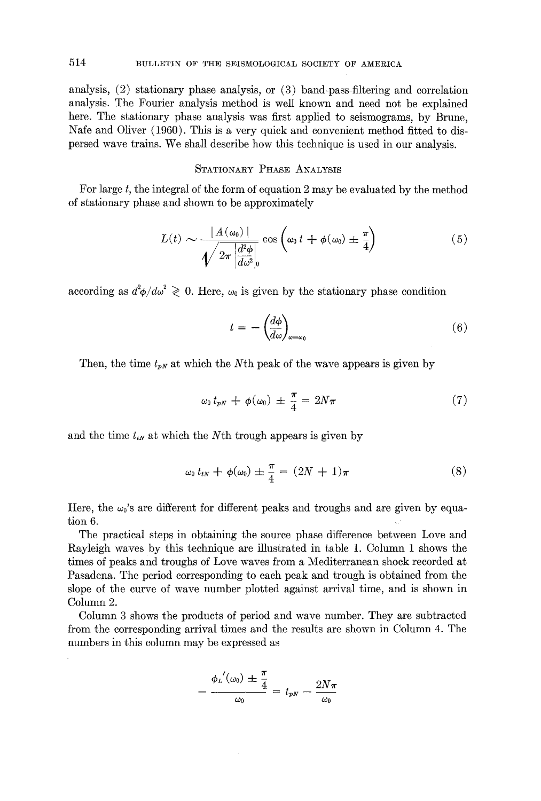analysis, (2) stationary phase analysis, or (3) band-pass-filtering and correlation analysis. The Fourier analysis method is well known and need not be explained here. The stationary phase analysis was first applied to seismograms, by Brune, Nafe and Oliver (1960). This is a very quick and convenient method fitted to dispersed wave trains. We shall describe how this technique is used in our analysis.

# STATIONARY PHASE ANALYSIS

For large  $t$ , the integral of the form of equation 2 may be evaluated by the method of stationary phase and shown to be approximately

$$
L(t) \sim \frac{|A(\omega_0)|}{\sqrt{2\pi \left|\frac{d^2\phi}{d\omega^2}\right|_0}} \cos\left(\omega_0 t + \phi(\omega_0) \pm \frac{\pi}{4}\right) \tag{5}
$$

according as  $d^2\phi/d\omega^2 \geq 0$ . Here,  $\omega_0$  is given by the stationary phase condition

$$
t = -\left(\frac{d\phi}{d\omega}\right)_{\omega=\omega_0} \tag{6}
$$

Then, the time  $t_{pN}$  at which the Nth peak of the wave appears is given by

$$
\omega_0 \, t_{pN} \, + \, \phi(\omega_0) \, \pm \, \frac{\pi}{4} = \, 2N\pi \tag{7}
$$

and the time  $t_{i,j}$  at which the Nth trough appears is given by

$$
\omega_0 t_{tN} + \phi(\omega_0) \pm \frac{\pi}{4} = (2N+1)\pi \tag{8}
$$

Here, the  $\omega_0$ 's are different for different peaks and troughs and are given by equation 6.

The practical steps in obtaining the source phase difference between Love and Rayleigh waves by this technique are illustrated in table 1. Column 1 shows the times of peaks and troughs of Love waves from a Mediterranean shock recorded at Pasadena. The period corresponding to each peak and trough is obtained from the slope of the curve of wave number plotted against arrival time, and is shown in Column 2.

Column 3 shows the products of period and wave number. They are subtracted from the corresponding arrival times and the results are shown in Column 4. The numbers in this column may be expressed as

$$
-\frac{\phi_L'(\omega_0)\pm\frac{\pi}{4}}{\omega_0}=t_{pN}-\frac{2N\pi}{\omega_0}
$$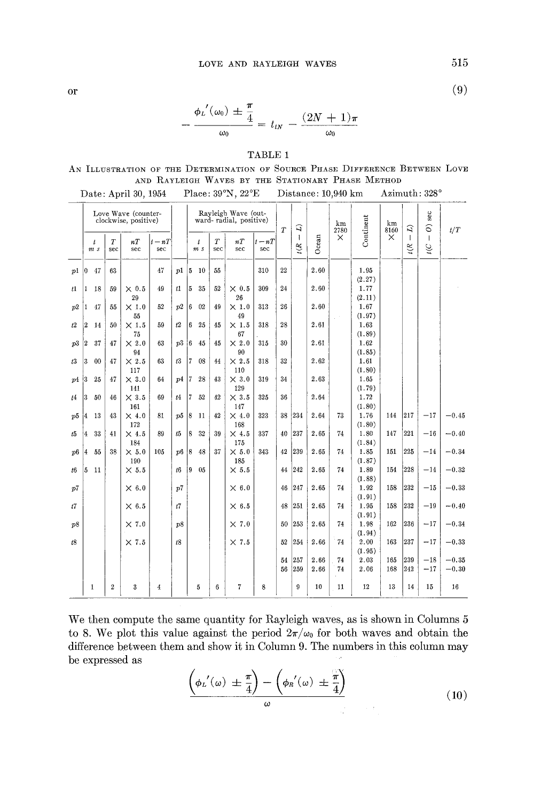or  $\langle \vartheta \rangle$ 

$$
-\frac{\phi_L'(\omega_0)\pm\frac{\pi}{4}}{\omega_0}=t_{tN}-\frac{(2N+1)\pi}{\omega_0}
$$

# TABLE 1

AN ILLUSTRATION OF THE DETERMINATION OF SOURCE PHASE DIFFERENCE BETWEEN LOVE AND RAYLEIGH WAVES BY THE STATIONARY PHASE METHOD Date: April 30, 1954 Place: 39°N, 22°E Distance: 10 940 km Azimuth: 328 °

|    |                                             |              |                         | $_{\text{Dave}}$ , April 00, 1001             |                 |      |             |                  |          | 11000, 001, 11, 221 |                 |           |                      |              | mmanno, rata um          |                 | ,,,,,,,,,,,,,, <i>,,,</i> , |                      |                    |                    |
|----|---------------------------------------------|--------------|-------------------------|-----------------------------------------------|-----------------|------|-------------|------------------|----------|---------------------|-----------------|-----------|----------------------|--------------|--------------------------|-----------------|-----------------------------|----------------------|--------------------|--------------------|
|    | Love Wave (counter-<br>clockwise, positive) |              |                         | Rayleigh Wave (out-<br>ward-radial, positive) |                 |      |             | $\boldsymbol{T}$ | ্ৰ       |                     | km<br>2780      | Continent | km<br>8160           | g            | sec<br>$\widehat{\circ}$ | t/T             |                             |                      |                    |                    |
|    |                                             | t<br>m s     | $\boldsymbol{T}$<br>sec | nT<br>sec                                     | $t - nT$<br>sec |      |             | t<br>m s         | T<br>sec | nT<br>sec           | $t - nT$<br>sec |           | $\mathbf{I}$<br>t(R) | Ocean        | $\times$                 |                 | $\times$                    | $\mathbf{I}$<br>t(R) | $\mathbf{I}$<br>ηî |                    |
| p1 | $\vert 0 \vert$                             | 47           | 63                      |                                               | 47              | p1   |             | $ 5 \quad 10$    | 55       |                     | 310             | 22        |                      | 2.60         |                          | 1.95<br>(2.27)  |                             |                      |                    |                    |
| t1 | 1                                           | -18          | 59                      | $\times 0.5$<br>29                            | 49              | t1   | 5.          | 35               | 52       | $\times$ 0.5<br>26  | 309             | 24        |                      | 2.60         |                          | 1.77<br>(2.11)  |                             |                      |                    |                    |
| p2 | 1                                           | 47           | 55                      | $\times 1.0$<br>55                            | 52              | p2   | 6           | 02               | 49       | $\times 1.0$<br>49  | 313             | 26        |                      | 2.60         |                          | 1.67<br>(1.97)  |                             |                      |                    |                    |
| t2 | 2                                           | 14           | 50                      | $\times 1.5$<br>75                            | 59              | t2   | 6           | 25               | 45       | $\times 1.5$<br>67  | 318             | 28        |                      | 2.61         |                          | 1.63<br>(1, 89) |                             |                      |                    |                    |
| p3 | 2                                           | 37           | 47                      | $\times 2.0$<br>94                            | 63              | p3 6 |             | 45               | 45       | $\times 2.0$<br>90  | 315             | 30        |                      | 2.61         |                          | 1.62<br>(1.85)  |                             |                      |                    |                    |
| t3 | 3                                           | 00           | 47                      | $\times 2.5$<br>117                           | 63              | t3   | 17.         | 08               | 44       | $\times 2.5$<br>110 | 318             | 32        |                      | 2.62         |                          | 1.61<br>(1.80)  |                             |                      |                    |                    |
| p4 | 13                                          | 25           | 47                      | $\times$ 3.0<br>141                           | 64              | p4   | 17.         | 28               | 43       | $\times$ 3.0<br>129 | 319             | 34        |                      | 2.63         |                          | 1.65<br>(1.79)  |                             |                      |                    |                    |
| t4 | 3                                           | -50          | 46                      | $\times$ 3.5<br>161                           | 69              | t4   | 7           | 52               | 42       | $\times$ 3.5<br>147 | 325             | 36        |                      | 2.64         |                          | 1.72<br>(1.80)  |                             |                      |                    |                    |
| p5 | 14                                          | -13          | 43                      | $\times$ 4.0<br>172                           | 81              | p5   | $ 8\rangle$ | $-11$            | 42       | $\times$ 4.0<br>168 | 323             | 38        | 234                  | 2.64         | 73                       | 1.76<br>(1.80)  | 144                         | 217                  | $-17$              | $-0.45$            |
| t5 | 4                                           | 33           | 41                      | $\times$ 4.5<br>184                           | 89              | t5   | 8           | 32               | 39       | $\times$ 4.5<br>175 | 337             | 40        | 237                  | 2.65         | 74                       | 1.80<br>(1.84)  | 147                         | 221                  | $-16$              | $-0.40$            |
| p6 | 4                                           | 55           | 38                      | $\times 5.0$<br>190                           | 105             | p6   | 8           | 48               | 37       | $\times 5.0$<br>185 | 343             | 42        | 239                  | 2.65         | 74                       | 1.85<br>(1.87)  | 151                         | 225                  | $-14$              | $-0.34$            |
| t6 |                                             | $5\quad11$   |                         | $\times$ 5.5                                  |                 | t6   | Ι9.         | 0.5              |          | $\times$ 5.5        |                 | 44        | 242                  | 2.65         | 74                       | 1.89<br>(1.88)  | 154                         | 228                  | $-14$              | $-0.32$            |
| p7 |                                             |              |                         | $\times 6.0$                                  |                 | p7   |             |                  |          | $\times$ 6.0        |                 | 46        | 247                  | 2.65         | 74                       | 1.92<br>(1.91)  | 158                         | 232                  | $-15$              | $-0.33$            |
| t7 |                                             |              |                         | $\times$ 6.5                                  |                 | t7   |             |                  |          | $\times$ 6.5        |                 | 48        | 251                  | 2.65         | 74                       | 1.95<br>(1.91)  | 158                         | 232                  | $-19$              | $-0.40$            |
| p8 |                                             |              |                         | $\times$ 7.0                                  |                 | p8   |             |                  |          | $\times 7.0$        |                 | 50        | 253                  | 2.65         | 74                       | 1.98<br>(1.94)  | 162                         | 236                  | $-17$              | $-0.34$            |
| t8 |                                             |              |                         | $\times 7.5$                                  |                 | t8   |             |                  |          | $\times 7.5$        |                 | 52        | 254                  | 2.66         | 74                       | 2.00<br>(1.95)  | 163                         | 237                  | $-17$              | $-0.33$            |
|    |                                             |              |                         |                                               |                 |      |             |                  |          |                     |                 | 54<br>56  | 257<br>259           | 2.66<br>2.66 | 74<br>74                 | 2.03<br>2.06    | 165<br>168                  | 239<br>242           | $-18$<br>$-17$     | $-0.35$<br>$-0.30$ |
|    |                                             | $\mathbf{1}$ | $\boldsymbol{2}$        | 3                                             | 4               |      |             | 5                | 6        | 7                   | 8               |           | 9                    | 10           | 11                       | 12              | 13                          | 14                   | 15                 | 16                 |

| We then compute the same quantity for Rayleigh waves, as is shown in Columns 5            |  |
|-------------------------------------------------------------------------------------------|--|
| to 8. We plot this value against the period $2\pi/\omega_0$ for both waves and obtain the |  |
| difference between them and show it in Column 9. The numbers in this column may           |  |
| be expressed as                                                                           |  |

$$
\frac{\left(\phi_L'(\omega) \pm \frac{\pi}{4}\right) - \left(\phi_R'(\omega) \pm \frac{\pi}{4}\right)}{\omega} \tag{10}
$$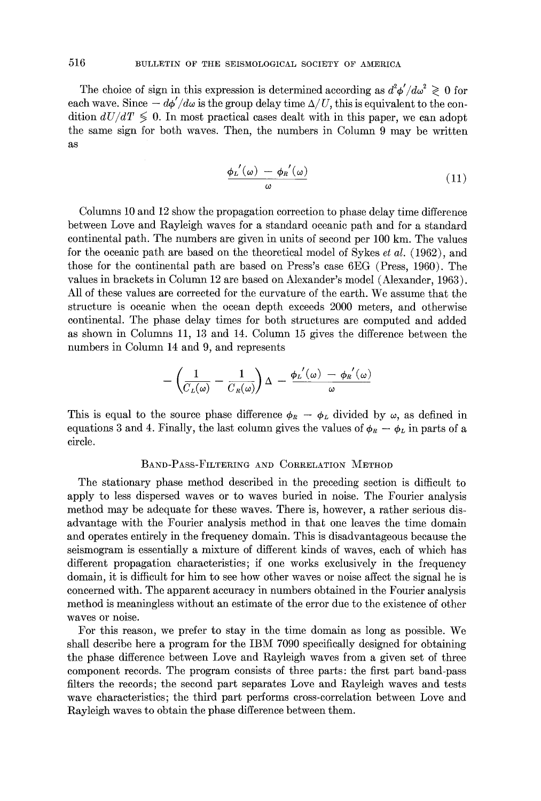The choice of sign in this expression is determined according as  $d^2\phi'/d\omega^2 \geq 0$  for each wave. Since  $-\frac{d\phi'}{d\omega}$  is the group delay time  $\Delta/U$ , this is equivalent to the condition  $dU/dT \leq 0$ . In most practical cases dealt with in this paper, we can adopt the same sign for both waves. Then, the numbers in Column 9 may be written as

$$
\frac{\phi_L'(\omega) - \phi_R'(\omega)}{\omega} \tag{11}
$$

Columns 10 and 12 show the propagation correction to phase delay time difference between Love and Rayleigh waves for a standard oceanic path and for a standard continental path. The numbers are given in units of second per 100 km. The values for the oceanic path are based on the theoretical model of Sykes *et al. (1962),* and those for the continental path are based on Press's case 6EG (Press, 1960). The values in brackets in Column 12 are based on Alexander's model (Alexander, 1963). All of these values are corrected for the curvature of the earth. We assume that the structure is oceanic when the ocean depth exceeds 2000 meters, and otherwise continental. The phase delay times for both structures are computed and added as shown in Columns 11, 13 and 14. Column 15 gives the difference between the numbers in Column 14 and 9, and represents

$$
-\left(\frac{1}{C_L(\omega)}-\frac{1}{C_R(\omega)}\right)\Delta - \frac{\phi_L'(\omega) - \phi_R'(\omega)}{\omega}
$$

This is equal to the source phase difference  $\phi_R - \phi_L$  divided by  $\omega$ , as defined in equations 3 and 4. Finally, the last column gives the values of  $\phi_R - \phi_L$  in parts of a circle.

### BAND-PASS-FILTERING AND CORRELATION METHOD

The stationary phase method described in the preceding section is difficult to apply to less dispersed waves or to waves buried in noise. The Fourier analysis method may be adequate for these waves. There is, however, a rather serious disadvantage with the Fourier analysis method in that one leaves the time domain and operates entirely in the frequency domain. This is disadvantageous because the seismogram is essentially a mixture of different kinds of waves, each of which has different propagation characteristics; if one works exclusively in the frequency domain, it is difficult for him to see how other waves or noise affect the signal he is concerned with. The apparent accuracy in numbers obtained in the Fourier analysis method is meaningless without an estimate of the error due to the existence of other waves or noise.

For this reason, we prefer to stay in the time domain as long as possible. We shall describe here a program for the IBM 7090 specifically designed for obtaining the phase difference between Love and Rayleigh waves from a given set of three component records. The program consists of three parts: the first part band-pass filters the records; the second part separates Love and Rayleigh waves and tests wave characteristics; the third part performs cross-correlation between Love and Rayleigh waves to obtain the phase difference between them.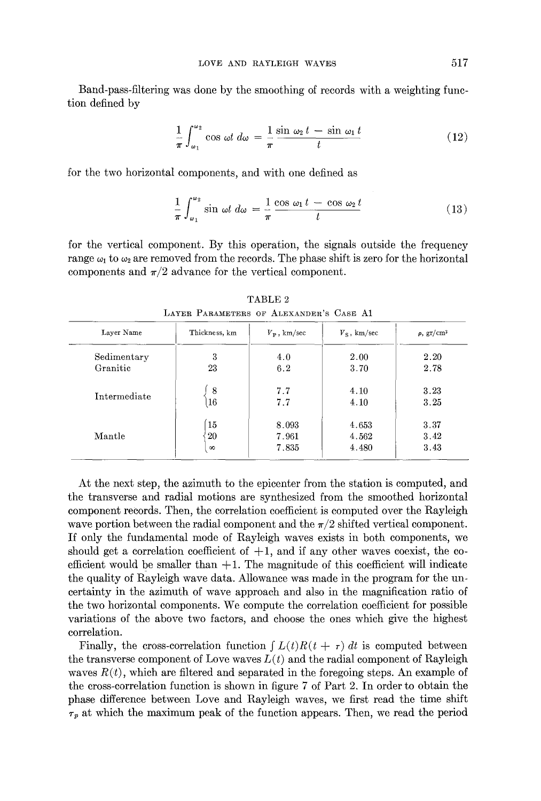Band-pass-filtering was done by the smoothing of records with a weighting function defined by

$$
\frac{1}{\pi} \int_{\omega_1}^{\omega_2} \cos \omega t \, d\omega = \frac{1}{\pi} \frac{\sin \omega_2 t - \sin \omega_1 t}{t} \tag{12}
$$

for the two horizontal components, and with one defined as

$$
\frac{1}{\pi} \int_{\omega_1}^{\omega_2} \sin \omega t \, d\omega = \frac{1}{\pi} \frac{\cos \omega_1 t - \cos \omega_2 t}{t} \tag{13}
$$

for the vertical component. By this operation, the signals outside the frequency range  $\omega_1$  to  $\omega_2$  are removed from the records. The phase shift is zero for the horizontal components and  $\pi/2$  advance for the vertical component.

| Layer Name   | Thickness, km | $V_{\rm p}$ , km/sec | $V_{\rm S}$ , km/sec | $\rho$ , gr/cm <sup>3</sup> |  |
|--------------|---------------|----------------------|----------------------|-----------------------------|--|
| Sedimentary  | 3             | 4.0                  | 2.00                 | 2.20                        |  |
| Granitic     | 23            | 6.2                  | 3.70                 | 2.78                        |  |
|              | 8             | 7.7                  | 4.10                 | 3.23                        |  |
| Intermediate | 16            | 7.7                  | 4.10                 | 3.25                        |  |
|              | 15            | 8.093                | 4.653                | 3.37                        |  |
| Mantle       | 20            | 7.961                | 4.562                | 3.42                        |  |
|              | $\infty$      | 7.835                | 4.480                | 3.43                        |  |

TABLE 2 LAYER PARAMETERS OF ALEXANDER'S CASE A1

At the next step, the azimuth to the epicenter from the station is computed, and the transverse and radial motions are synthesized from the smoothed horizontal component records. Then, the correlation coefficient is computed over the Rayleigh wave portion between the radial component and the  $\pi/2$  shifted vertical component. If only the fundamental mode of Rayleigh waves exists in both components, we should get a correlation coefficient of  $+1$ , and if any other waves coexist, the coefficient would be smaller than  $+1$ . The magnitude of this coefficient will indicate the quality of Rayleigh wave data. Allowance was made in the program for the uncertainty in the azimuth of wave approach and also in the magnification ratio of the two horizontal components. We compute the correlation coefficient for possible variations of the above two factors, and choose the ones which give the highest correlation.

Finally, the cross-correlation function  $\int L(t)R(t + \tau) dt$  is computed between the transverse component of Love waves  $L(t)$  and the radial component of Rayleigh waves  $R(t)$ , which are filtered and separated in the foregoing steps. An example of the cross-correlation function is shown in figure 7 of Part 2. In order to obtain the phase difference between Love and Rayleigh waves, we first read the time shift  $\tau_p$  at which the maximum peak of the function appears. Then, we read the period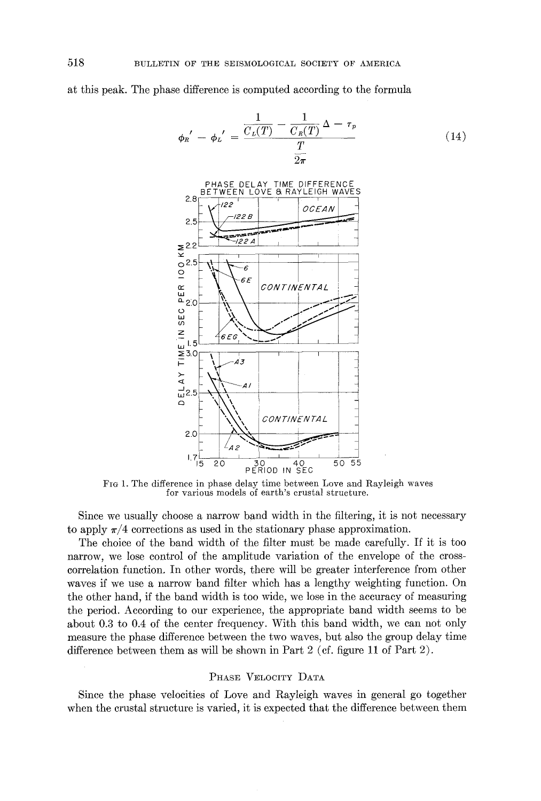at this peak. The phase difference is computed according to the formula

$$
\phi_R' - \phi_L' = \frac{\frac{1}{C_L(T)} - \frac{1}{C_R(T)} \Delta - \tau_p}{\frac{T}{2\pi}}
$$
\n(14)



FIG 1. The difference in phase delay time between Love and Rayleigh waves for various models of earth's crustal structure.

Since we usually choose a narrow band width in the filtering, it is not necessary to apply  $\pi/4$  corrections as used in the stationary phase approximation.

The choice of the band width of the filter must be made carefully. If it is too narrow, we lose control of the amplitude variation of the envelope of the crosscorrelation function. In other words, there will be greater interference from other waves if we use a narrow band filter which has a lengthy weighting function. On the other hand, if the band width is too wide, we lose in the accuracy of measuring the period. According to our experience, the appropriate band width seems to be about 0.3 to 0.4 of the center frequency. With this band width, we can not only measure the phase difference between the two waves, but also the group delay time difference between them as will be shown in Part 2 (cf. figure 11 of Part 2).

#### PHASE VELOCITY DATA

Since the phase velocities of Love and Rayleigh waves in general go together when the crustal structure is varied, it is expected that the difference between them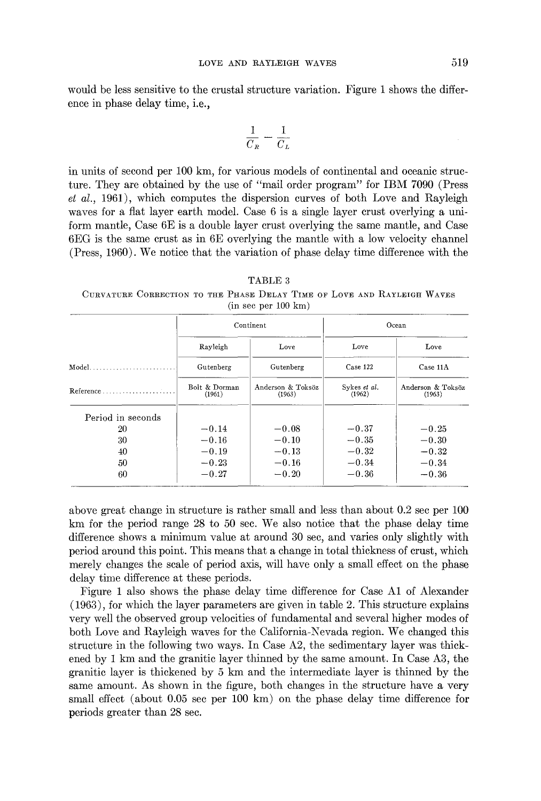would be less sensitive to the crustal structure variation. Figure 1 shows the difference in phase delay time, i.e.,

$$
\frac{1}{C_R} - \frac{1}{C_L}
$$

in units of second per 100 km, for various models of continental and oceanic structure. They are obtained by the use of "mail order program" for IBM 7090 (Press *et al.,* 1961), which computes the dispersion curves of both Love and Rayleigh waves for a fiat layer earth model. Case 6 is a single layer crust overlying a uniform mantle, Case 6E is a double layer crust overlying the same mantle, and Case 6EG is the same crust as in 6E overlying the mantle with a low velocity channel (Press, 1960). We notice that the variation of phase delay time difference with the

TABLE 3 CURVATURE CORRECTION TO THE PHASE DELAY TIME OF LOVE AND RAYLEIGH WAVES  $(in sec per 100 km)$ 

|                                                |                         | Continent                   | Ocean                  |                             |  |  |
|------------------------------------------------|-------------------------|-----------------------------|------------------------|-----------------------------|--|--|
|                                                | Rayleigh                | Love                        | Love                   | Love<br>Case 11A            |  |  |
| $Model.$                                       | Gutenberg               | Gutenberg                   | Case 122               |                             |  |  |
| $Reference \ldots \ldots \ldots \ldots \ldots$ | Bolt & Dorman<br>(1961) | Anderson & Toksöz<br>(1963) | Sykes et al.<br>(1962) | Anderson & Toksöz<br>(1963) |  |  |
| Period in seconds                              |                         |                             |                        |                             |  |  |
| 20                                             | $-0.14$                 | $-0.08$                     | $-0.37$                | $-0.25$                     |  |  |
| 30                                             | $-0.16$                 | $-0.10$                     | $-0.35$                | $-0.30$                     |  |  |
| 40                                             | $-0.19$                 | $-0.13$                     | $-0.32$                | $-0.32$                     |  |  |
| 50                                             | $-0.23$                 | $-0.16$                     | $-0.34$                | $-0.34$                     |  |  |
| 60                                             | $-0.27$                 | $-0.20$                     | $-0.36$                | $-0.36$                     |  |  |

above great change in structure is rather small and less than about 0.2 see per 100 km for the period range 28 to 50 see. We also notice that the phase delay time difference shows a minimum value at around 30 see, and varies only slightly with period around this point. This means that a change in total thickness of crust, which merely changes the scale of period axis, will have only a small effect on the phase delay time difference at these periods.

Figure 1 also shows the phase delay time difference for Case A1 of Alexander (1963), for which the layer parameters are given in table 2. This structure explains very well the observed group velocities of fundamental and several higher modes of both Love and Rayleigh waves for the California-Nevada region. We changed this structure in the following two ways. In Case A2, the sedimentary layer was thickened by 1 km and the granitic layer thinned by the same amount. In Case A3, the granitic layer is thickened by 5 km and the intermediate layer is thinned by the same amount. As shown in the figure, both changes in the structure have a very small effect (about  $0.05$  see per 100 km) on the phase delay time difference for periods greater than 28 see.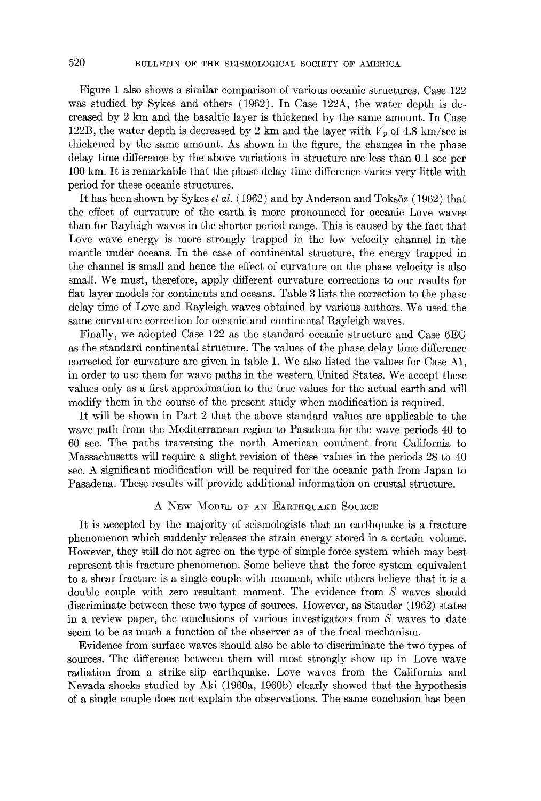Figure 1 also shows a similar comparison of various oceanic structures. Case 122 was studied by Sykes and others (1962). In Case 122A, the water depth is decreased by 2 km and the basaltic layer is thickened by the same amount. In Case 122B, the water depth is decreased by 2 km and the layer with  $V_p$  of 4.8 km/sec is thickened by the same amount. As shown in the figure, the changes in the phase delay time difference by the above variations in structure are less than 0.1 sec per 100 km. It is remarkable that the phase delay time difference varies very little with period for these oceanic structures.

It has been shown by Sykes *et al.* (1962) and by Anderson and Toksöz (1962) that the effect of curvature of the earth is more pronounced for oceanic Love waves than for Rayleigh waves in the shorter period range. This is caused by the fact that Love wave energy is more strongly trapped in the low velocity channel in the mantle under oceans. In the case of continental structure, the energy trapped in the channel is small and hence the effect of curvature on the phase velocity is also small. We must, therefore, apply different curvature corrections to our results for flat layer models for continents and oceans. Table 3 lists the correction to the phase delay time of Love and Rayleigh waves obtained by various authors. We used the same curvature correction for oceanic and continental Rayleigh waves.

Finally, we adopted Case 122 as the standard oceanic structure and Case 6EG as the standard continental structure. The values of the phase delay time difference corrected for curvature are given in table 1. We also listed the values for Case A1, in order to use them for wave paths in the western United States. We accept these values only as a first approximation to the true values for the actual earth and will modify them in the course of the present study when modification is required.

It will be shown in Part 2 that the above standard values are applicable to the wave path from the Mediterranean region to Pasadena for the wave periods 40 to 60 see. The paths traversing the north American continent from California to Massachusetts will require a slight revision of these values in the periods 28 to 40 see. A significant modification will be required for the oceanic path from Japan to Pasadena. These results will provide additional information on crustal structure.

# A NEW MODEL OF AN EARTHQUAKE SOURCE

It is accepted by the majority of seismologists that an earthquake is a fracture phenomenon which suddenly releases the strain energy stored in a certain volume. However, they still do not agree on the type of simple force system which may best represent this fracture phenomenon. Some believe that the force system equivalent to a shear fracture is a single couple with moment, while others believe that it is a double couple with zero resultant moment. The evidence from S waves should discriminate between these two types of sources. However, as Stauder (1962) states in a review paper, the conclusions of various investigators from S waves to date seem to be as much a function of the observer as of the focal mechanism.

Evidence from surface waves should also be able to discriminate the two types of sources. The difference between them will most strongly show up in Love wave radiation from a strike-slip earthquake. Love waves from the California and Nevada shocks studied by Aki (1960a, 1960b) clearly showed that the hypothesis of a single couple does not explain the observations. The same conclusion has been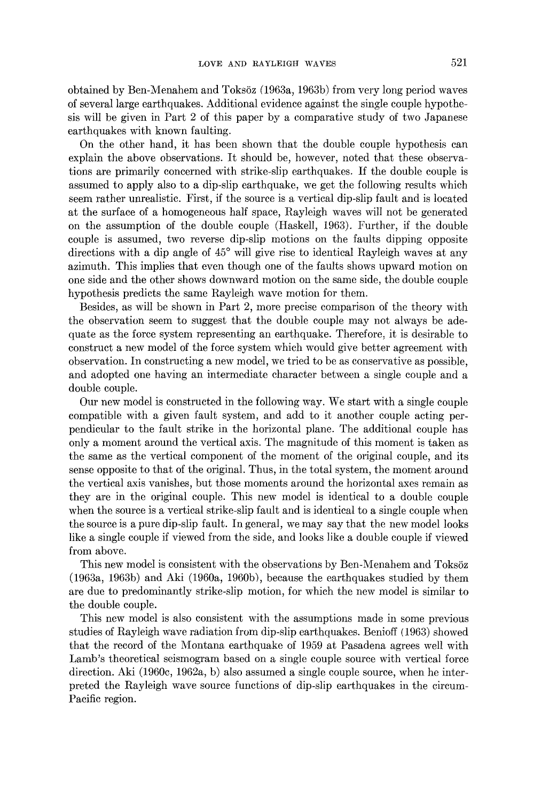obtained by Ben-Menahem and ToksSz (1963a, 1963b) from very long period waves of several large earthquakes. Additional evidence against the single couple hypothesis will be given in Part 2 of this paper by a comparative study of two Japanese earthquakes with known faulting.

On the other hand, it has been shown that the double couple hypothesis can explain the above observations. It should be, however, noted that these observations are primarily concerned with strike-slip earthquakes. If the double couple is assumed to apply also to a dip-slip earthquake, we get the following results which seem rather unrealistic. First, if the source is a vertical dip-slip fault and is located at the surface of a homogeneous half space, Rayleigh waves will not be generated on the assumption of the double couple (Haske]l, 1963). Further, if the double couple is assumed, two reverse dip-slip motions on the faults dipping opposite directions with a dip angle of 45° will give rise to identical Rayleigh waves at any azimuth. This implies that even though one of the faults shows upward motion on one side and the other shows downward motion on the same side, the double couple hypothesis predicts the same Rayleigh wave motion for them.

Besides, as will be shown in Part 2, more precise comparison of the theory with the observation seem to suggest that the double couple may not always be adequate as the force system representing an earthquake. Therefore, it is desirable to construct a new model of the force system which would give better agreement with observation. In constructing a new model, we tried to be as conservative as possible, and adopted one having an intermediate character between a single couple and a double couple.

Our new model is constructed in the following way. We start with a single couple compatible with a given fault system, and add to it another couple acting perpendicular to the fault strike in the horizontal plane. The additional couple has only a moment around the vertical axis. The magnitude of this moment is taken as the same as the vertical component of the moment of the original couple, and its sense opposite to that of the original. Thus, in the total system, the moment around the vertical axis vanishes, but those moments around the horizontal axes remain as they are in the original couple. This new model is identical to a double couple when the source is a vertical strike-slip fault and is identical to a single couple when the source is a pure dip-slip fault. In general, we may say that the new model looks like a single couple if viewed from the side, and looks like a double couple if viewed from above.

This new model is consistent with the observations by Ben-Menahem and Toksöz (1963a, 1963b) and Aki (1960a, 1960b), because the earthquakes studied by them are due to predominantly strike-slip motion, for which the new model is similar to the double couple.

This new model is also consistent with the assumptions made in some previous studies of Rayleigh wave radiation from dip-slip earthquakes. Benioff (1963) showed that the record of the Montana earthquake of 1959 at Pasadena agrees well with Lamb's theoretical seismogram based on a single couple source with vertical force direction. Aki (1960c, 1962a, b) also assumed a single couple source, when he interpreted the Rayleigh wave source functions of dip-slip earthquakes in the circum-Pacific region.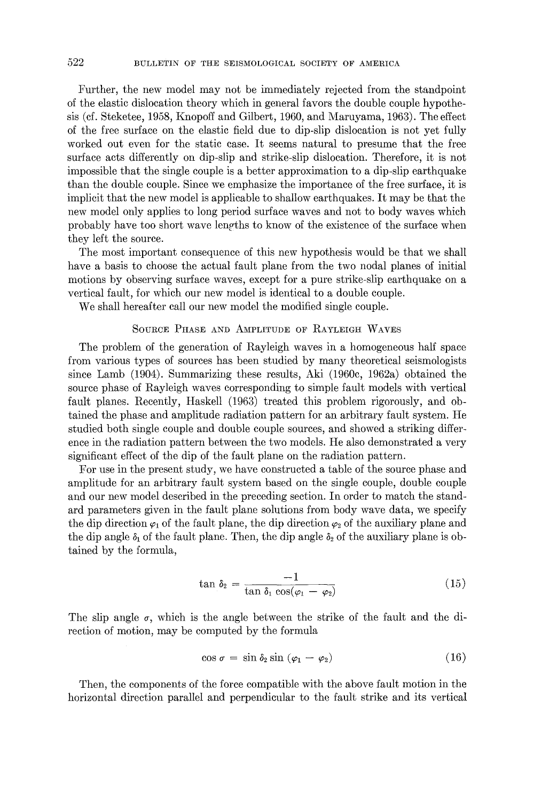Further, the new model may not be immediately rejected from the standpoint of the elastic dislocation theory which in general favors the double couple hypothesis (cf. Steketee, 1958, Knopoff and Gilbert, 1960, and Maruyama, 1963). The effect of the free surface on the elastic field due to dip-slip dislocation is not yet fully worked out even for the static case. It seems natural to presume that the free surface acts differently on dip-slip and strike-slip dislocation. Therefore, it is not impossible that the single couple is a better approximation to a dip-slip earthquake than the double couple. Since we emphasize the importance of the free surface, it is implicit that the new model is applicable to shallow earthquakes. It may be that the new model only applies to long period surface waves and not to body waves which probably have too short wave lengths to know of the existence of the surface when they left the source.

The most important consequence of this new hypothesis would be that we shall have a basis to choose the actual fault plane from the two nodal planes of initial motions by observing surface waves, except for a pure strike-slip earthquake on a vertical fault, for which our new model is identical to a double couple.

We shall hereafter call our new model the modified single couple.

# SOURCE PHASE AND AMPLITUDE OF RAYLEIGH WAVES

The problem of the generation of Rayleigh waves in a homogeneous half space from various types of sources has been studied by many theoretical seismologists since Lamb (1904). Summarizing these results, Aki (1960c, 1962a) obtained the source phase of Rayleigh waves corresponding to simple fault models with vertical fault planes. Recently, Haskell (1963) treated this problem rigorously, and obtained the phase and amplitude radiation pattern for an arbitrary fault system. He studied both single couple and double couple sources, and showed a striking difference in the radiation pattern between the two models. He also demonstrated a very significant effect of the dip of the fault plane on the radiation pattern.

For use in the present study, we have constructed a table of the source phase and amplitude for an arbitrary fault system based on the single couple, double couple and our new model described in the preceding section. In order to match the standard parameters given in the fault plane solutions from body wave data, we specify the dip direction  $\varphi_1$  of the fault plane, the dip direction  $\varphi_2$  of the auxiliary plane and the dip angle  $\delta_1$  of the fault plane. Then, the dip angle  $\delta_2$  of the auxiliary plane is obtained by the formula,

$$
\tan \delta_2 = \frac{-1}{\tan \delta_1 \cos(\varphi_1 - \varphi_2)}\tag{15}
$$

The slip angle  $\sigma$ , which is the angle between the strike of the fault and the direction of motion, may be computed by the formula

$$
\cos \sigma = \sin \delta_2 \sin (\varphi_1 - \varphi_2) \tag{16}
$$

Then, the components of the force compatible with the above fault motion in the horizontal direction parallel and perpendicular to the fault strike and its vertical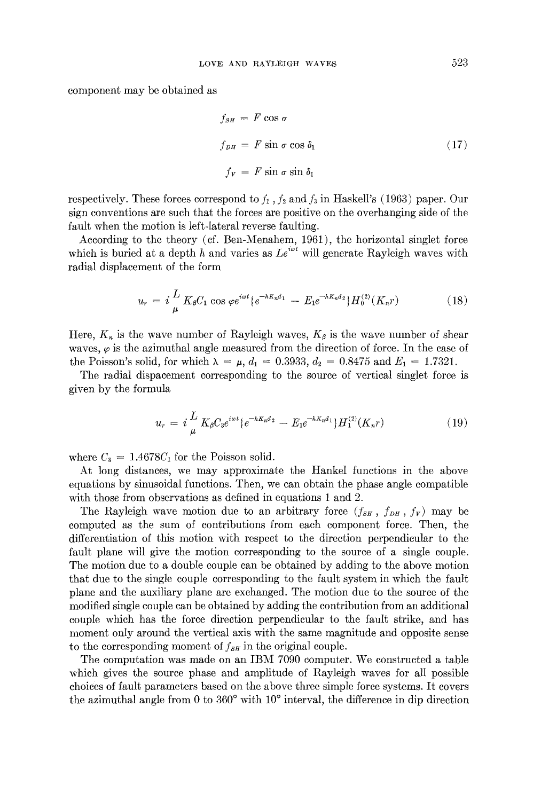component may be obtained as

$$
f_{SH} = F \cos \sigma
$$
  
\n
$$
f_{DH} = F \sin \sigma \cos \delta_1
$$
 (17)  
\n
$$
f_V = F \sin \sigma \sin \delta_1
$$

respectively. These forces correspond to  $f_1$ ,  $f_2$  and  $f_3$  in Haskell's (1963) paper. Our sign conventions are such that the forces are positive on the overhanging side of the fault when the motion is left-lateral reverse faulting.

According to the theory (cf. Ben-Menahem, 1961), the horizontal singlet force which is buried at a depth h and varies as  $Le^{i\omega t}$  will generate Rayleigh waves with radial displacement of the form

$$
u_r = i \frac{L}{\mu} K_\beta C_1 \cos \varphi e^{i\omega t} \{ e^{-hK_n d_1} - E_1 e^{-hK_n d_2} \} H_0^{(2)}(K_n r) \tag{18}
$$

Here,  $K_n$  is the wave number of Rayleigh waves,  $K_\beta$  is the wave number of shear waves,  $\varphi$  is the azimuthal angle measured from the direction of force. In the case of the Poisson's solid, for which  $\lambda = \mu$ ,  $d_1 = 0.3933$ ,  $d_2 = 0.8475$  and  $E_1 = 1.7321$ .

The radial dispacement corresponding to the source of vertical singlet force is given by the formula

$$
u_r = i \frac{L}{\mu} K_{\beta} C_3 e^{i\omega t} \{e^{-hK_n d_2} - E_1 e^{-hK_n d_1}\} H_1^{(2)}(K_n r) \tag{19}
$$

where  $C_3 = 1.4678C_1$  for the Poisson solid.

At long distances, we may approximate the Hankel functions in the above equations by sinusoidal functions. Then, we can obtain the phase angle compatible with those from observations as defined in equations 1 and 2.

The Rayleigh wave motion due to an arbitrary force  $(f_{SH}, f_{DH}, f_{V})$  may be computed as the sum of contributions from each component force. Then, the differentiation of this motion with respect to the direction perpendicular to the fault plane will give the motion corresponding to the source of a single couple. The motion due to a double couple can be obtained by adding to the above motion that due to the single couple corresponding to the fault system in which the fault plane and the auxiliary plane are exchanged. The motion due to the source of the modified single couple can be obtained by adding the contribution from an additional couple which has the force direction perpendicular to the fault strike, and has moment only around the vertical axis with the same magnitude and opposite sense to the corresponding moment of  $f_{SH}$  in the original couple.

The computation was made on an IBM 7090 computer. We constructed a table which gives the source phase and amplitude of Rayleigh waves for all possible choices of fault parameters based on the above three simple force systems. It covers the azimuthal angle from 0 to 360 $^{\circ}$  with 10 $^{\circ}$  interval, the difference in dip direction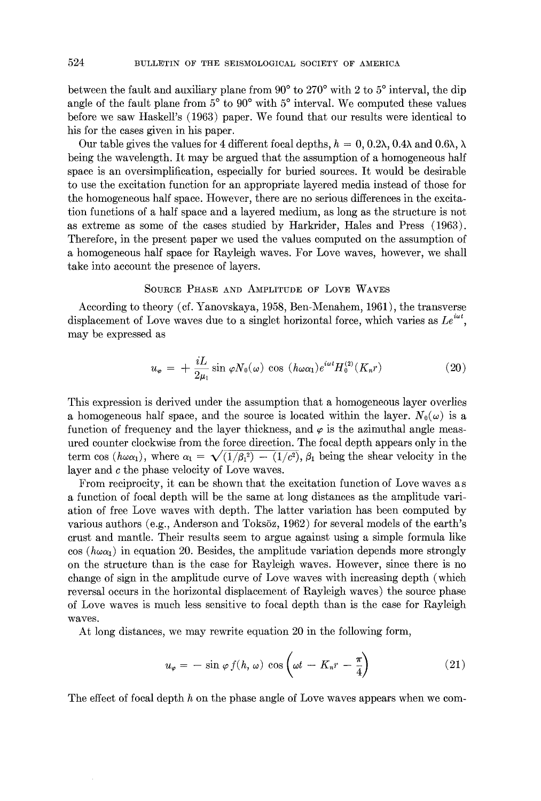between the fault and auxiliary plane from  $90^{\circ}$  to  $270^{\circ}$  with 2 to  $5^{\circ}$  interval, the dip angle of the fault plane from  $5^{\circ}$  to  $90^{\circ}$  with  $5^{\circ}$  interval. We computed these values before we saw Haskell's (1963) paper. We found that our results were identical to his for the cases given in his paper.

Our table gives the values for 4 different focal depths,  $h = 0, 0.2\lambda, 0.4\lambda$  and  $0.6\lambda, \lambda$ being the wavelength. It may be argued that the assumption of a homogeneous half space is an oversimplification, especially for buried sources. It would be desirable to use the excitation function for an appropriate layered media instead of those for the homogeneous half space. However, there are no serious differences in the excitation functions of a half space and a layered medium, as long as the structure is not as extreme as some of the cases studied by Harkrider, Hales and Press (1963). Therefore, in the present paper we used the values computed on the assumption of a homogeneous half space for Rayleigh waves. For Love waves, however, we shall take into account the presence of layers.

### SOURCE PHASE AND AMPLITUDE OF LOVE WAVES

According to theory (cf. Yanovskaya, 1958, Ben-Menahem, 1961), the transverse displacement of Love waves due to a singlet horizontal force, which varies as  $Le^{i\omega t}$ . may be expressed as

$$
u_{\varphi} = +\frac{iL}{2\mu_1} \sin \varphi N_0(\omega) \cos (h\omega \alpha_1) e^{i\omega t} H_0^{(2)}(K_n r) \tag{20}
$$

This expression is derived under the assumption that a homogeneous layer overlies a homogeneous half space, and the source is located within the layer.  $N_0(\omega)$  is a function of frequency and the layer thickness, and  $\varphi$  is the azimuthal angle measured counter clockwise from the force direction. The focal depth appears only in the term cos ( $h\omega\alpha_1$ ), where  $\alpha_1 = \sqrt{(1/\beta_1^2) - (1/c^2)}$ ,  $\beta_1$  being the shear velocity in the layer and c the phase velocity of Love waves.

From reciprocity, it can be shown that the excitation function of Love waves a s a function of focal depth will be the same at long distances as the amplitude variation of free Love waves with depth. The latter variation has been computed by various authors (e.g., Anderson and Toksöz, 1962) for several models of the earth's crust and mantle. Their results seem to argue against using a simple formula like  $\cos (h\omega\alpha_1)$  in equation 20. Besides, the amplitude variation depends more strongly on the structure than is the case for Rayleigh waves. However, since there is no change of sign in the amplitude curve of Love waves with increasing depth (which reversal occurs in the horizontal displacement of Rayleigh waves) the source phase of Love waves is much less sensitive to focal depth than is the case for Rayleigh waves.

At long distances, we may rewrite equation 20 in the following form,

$$
u_{\varphi} = -\sin \varphi f(h, \omega) \cos \left(\omega t - K_n r - \frac{\pi}{4}\right) \tag{21}
$$

The effect of focal depth  $h$  on the phase angle of Love waves appears when we com-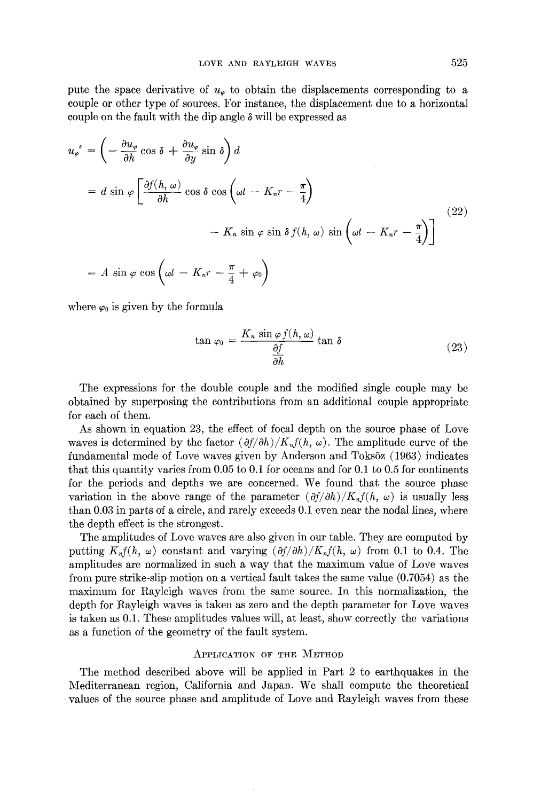pute the space derivative of  $u_{\varphi}$  to obtain the displacements corresponding to a couple or other type of sources. For instance, the displacement due to a horizontal couple on the fault with the dip angle  $\delta$  will be expressed as

$$
u_{\varphi}^{s} = \left(-\frac{\partial u_{\varphi}}{\partial h}\cos\delta + \frac{\partial u_{\varphi}}{\partial y}\sin\delta\right)d
$$
  
=  $d \sin\varphi \left[\frac{\partial f(h,\omega)}{\partial h}\cos\delta\cos\left(\omega t - K_{n}r - \frac{\pi}{4}\right)\right]$   
 $- K_{n} \sin\varphi\sin\delta f(h,\omega)\sin\left(\omega t - K_{n}r - \frac{\pi}{4}\right)\right]$   
=  $A \sin\varphi\cos\left(\omega t - K_{n}r - \frac{\pi}{4} + \varphi_{0}\right)$  (22)

where  $\varphi_0$  is given by the formula

$$
\tan \varphi_0 = \frac{K_n \sin \varphi f(h, \omega)}{\frac{\partial f}{\partial h}} \tan \delta \tag{23}
$$

The expressions for the double couple and the modified single couple may be obtained by superposing the contributions from an additional couple appropriate for each of them.

As shown in equation 23, the effect of focal depth on the source phase of Love waves is determined by the factor  $(\partial f/\partial h)/K_n f(h, \omega)$ . The amplitude curve of the fundamental mode of Love waves given by Anderson and Toksöz (1963) indicates that this quantity varies from 0.05 to 0.1 for oceans and for 0.1 to 0.5 for continents for the periods and depths we are concerned. We found that the source phase variation in the above range of the parameter  $(\partial f/\partial h)/K_v f(h, \omega)$  is usually less than 0.03 in parts of a circle, and rarely exceeds 0.1 even near the nodal lines, where the depth effect is the strongest.

The amplitudes of Love waves are also given in our table. They are computed by putting  $K_n f(h, \omega)$  constant and varying  $(\partial f/\partial h)/K_n f(h, \omega)$  from 0.1 to 0.4. The amplitudes are normalized in such a way that the maximum value of Love waves from pure strike-slip motion on a vertical fault takes the same value (0.7054) as the maximum for Rayleigh waves from the same source. In this normalization, the depth for Rayleigh waves is taken as zero and the depth parameter for Love waves is taken as 0.1. These amplitudes values will, at least, show correctly the variations as a function of the geometry of the fault system.

# APPLICATION OF THE METHOD

The method described above will be applied in Part 2 to earthquakes in the Mediterranean region, California and Japan. We shall compute the theoretical values of the source phase and amplitude of Love and Rayleigh waves from these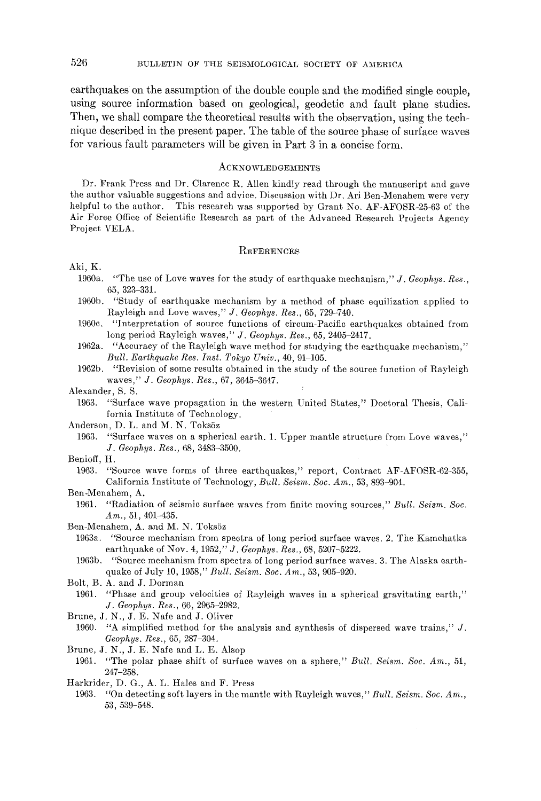earthquakes on the assumption of the double couple and the modified single couple, using source information based on geological, geodetic and fault plane studies. Then, we shall compare the theoretical results with the observation, using the technique described in the present paper. The table of the source phase of surface waves for various fault parameters will be given in Part 3 in a concise form.

#### **ACKNOWLEDGEMENTS**

Dr. Frank Press and Dr. Clarence R. Allen kindly read through the manuscript and gave the author valuable suggestions and advice. Discussion with Dr. Ari Ben-Menahem were very helpful to the author. This research was supported by Grant No. AF-AFOSR-25-63 of the Air Force Office of Scientific Research as part of the Advanced Research Projects Agency Project VELA.

#### **REFERENCES**

#### Aki, K.

- 1960a. "The use of Love waves for the study of earthquake mechanism," *J. Geophys. Res.,*  65, 323-331.
- 1960b. "Study of earthquake mechanism by a method of phase equilization applied to Rayleigh and Love waves," *J. Geophys. Res.,* 65, 729-740.
- 1960c. "Interpretation of source functions of circum-Pacific earthquakes obtained from long period Rayleigh waves," *J. Geophys. Res.,* 65, 2405-2417.
- 1962a. "Accuracy of the Rayleigh wave method for studying the earthquake mechanism," *Bull. Earthquake Res. Inst. Tokyo Univ.,* 40, 91-105.
- 1962b. "Revision of some results obtained in the study of the source function of Rayleigh waves," *J. Geophys. Res.,* 67, 3645-3647.
- Alexander, S. S.
	- 1963. "Surface wave propagation in the western United States," Doctoral Thesis, California Institute of Technology.

Anderson, D. L. and M. N. Toksöz

- 1963. "Surface waves on a spherical earth. 1. Upper mantle structure from Love waves," *J. Geophys. Res.,* 68, 3483-3500.
- Benioff, H.
	- 1963. "Source wave forms of three earthquakes," report, Contract AF-AFOSR-62-355, California Institute of Technology, *Bull. Seism. Soc. Am.,* 53,893-904.
- Ben-Menahem, A.
	- 1961. "Radiation of seismic surface waves from finite moving sources," *Bull. Seism. Soc.*   $Am., 51, 401-435.$
- Ben-Menahem, A. and M. N. Toksöz
	- 1963a. "Source mechanism from spectra of long period surface waves. 2. The Kamchatka earthquake of Nov. 4, 1952," *J. Geophys. Res.,* 68, 5207-5222.
	- 1963b. "Source mechanism from spectra of long period surface waves. 3. The Alaska earthquake of July 10, 1958," *Bull. Seism. Soc. Am.,* 53,905-920.
- Bolt, B. A. and J. Dorman
- 1961. "Phase and group velocities of Rayleigh waves in a spherical gravitating earth," *J. Geophys. Res.,* 66, 2965-2982.
- Brune, J. N., J. E. Nafe and J. Oliver
- 1960. *"A* simplified method for the analysis and synthesis of dispersed wave trains," J. *Geophys. Res.,* 65, 287-304.

Brune, J. N., J. E. Nafe and L. E. Alsop

- 1961. "The polar phase shift of surface waves on a sphere," *Bull. Seism. Soc. Am.,* 51, 247-258.
- Harkrider, D. G., A. L. Hales and F. Press
	- 1963. *"On* detecting soft layers in the mantle with Rayleigh waves," *Bull. Seism. Soc. Am.,*  53, 539-548.